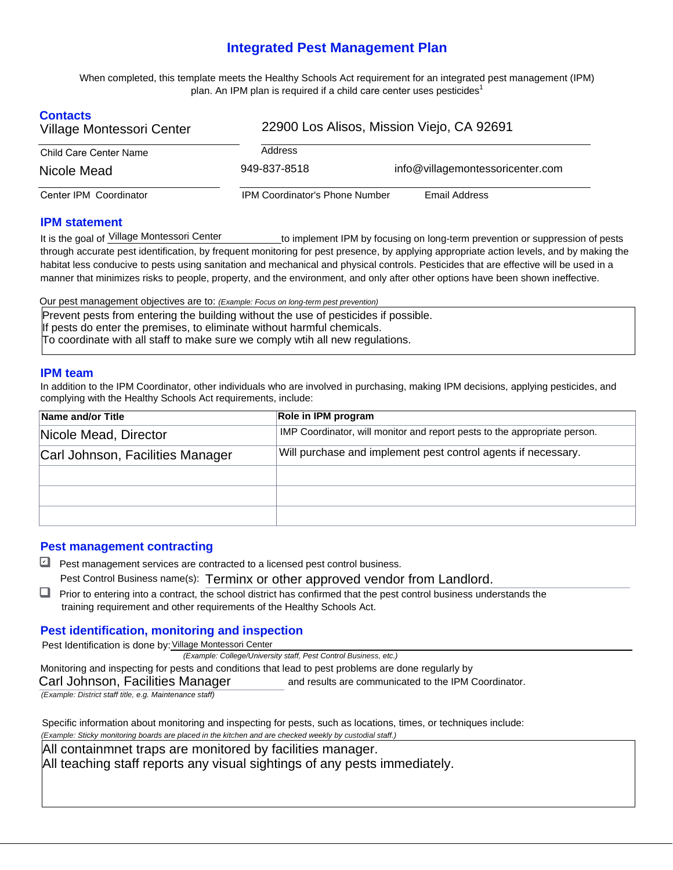# **Integrated Pest Management Plan**

 When completed, this template meets the Healthy Schools Act requirement for an integrated pest management (IPM) plan. An IPM plan is required if a child care center uses pesticides $^{\text{1}}$ 

| <b>Contacts</b><br>Village Montessori Center | 22900 Los Alisos, Mission Viejo, CA 92691 |                                  |  |  |
|----------------------------------------------|-------------------------------------------|----------------------------------|--|--|
| <b>Child Care Center Name</b>                | Address                                   |                                  |  |  |
| Nicole Mead                                  | 949-837-8518                              | info@villagemontessoricenter.com |  |  |
| Center IPM Coordinator                       | <b>IPM Coordinator's Phone Number</b>     | Email Address                    |  |  |

#### **IPM statement**

is the goal of Village Montessori Center through accurate pest identification, by frequent monitoring for pest presence, by applying appropriate action levels, and by making the habitat less conducive to pests using sanitation and mechanical and physical controls. Pesticides that are effective will be used in a manner that minimizes risks to people, property, and the environment, and only after other options have been shown ineffective. to implement IPM by focusing on long-term prevention or suppression of pests

Our pest management objectives are to: *(Example: Focus on long-term pest prevention)*  Prevent pests from entering the building without the use of pesticides if possible. If pests do enter the premises, to eliminate without harmful chemicals. To coordinate with all staff to make sure we comply wtih all new regulations.

#### **IPM team**

In addition to the IPM Coordinator, other individuals who are involved in purchasing, making IPM decisions, applying pesticides, and complying with the Healthy Schools Act requirements, include:

| Name and/or Title                | Role in IPM program                                                       |  |  |  |
|----------------------------------|---------------------------------------------------------------------------|--|--|--|
| Nicole Mead, Director            | IMP Coordinator, will monitor and report pests to the appropriate person. |  |  |  |
| Carl Johnson, Facilities Manager | Will purchase and implement pest control agents if necessary.             |  |  |  |
|                                  |                                                                           |  |  |  |
|                                  |                                                                           |  |  |  |
|                                  |                                                                           |  |  |  |

## **Pest management contracting**

■ Pest management services are contracted to a licensed pest control business. Pest Control Business name(s): Terminx or other approved vendor from Landlord.

Prior to entering into a contract, the school district has confirmed that the pest control business understands the training requirement and other requirements of the Healthy Schools Act.

## **Pest identification, monitoring and inspection**

Pest Identification is done by: Village Montessori Center

 *(Example: College/University staff, Pest Control Business, etc.)* 

Monitoring and inspecting for pests and conditions that lead to pest problems are done regularly by

 and results are communicated to the IPM Coordinator. Carl Johnson, Facilities Manager

*(Example: District staff title, e.g. Maintenance staff)* 

 Specific information about monitoring and inspecting for pests, such as locations, times, or techniques include:  *(Example: Sticky monitoring boards are placed in the kitchen and are checked weekly by custodial staff.)* 

All containmnet traps are monitored by facilities manager.

All teaching staff reports any visual sightings of any pests immediately.